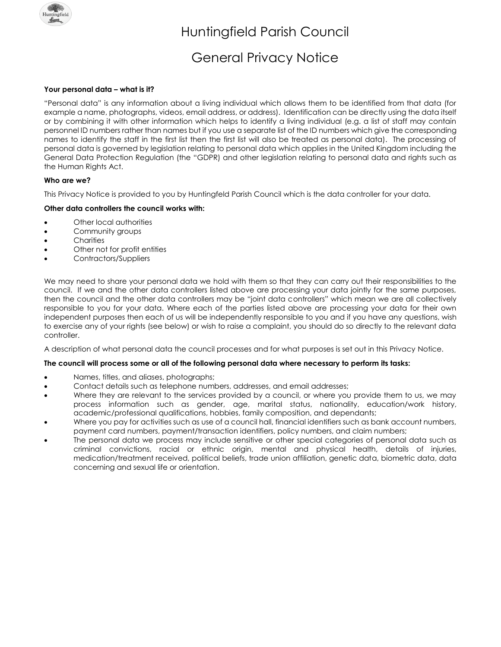

# General Privacy Notice

# **Your personal data – what is it?**

"Personal data" is any information about a living individual which allows them to be identified from that data (for example a name, photographs, videos, email address, or address). Identification can be directly using the data itself or by combining it with other information which helps to identify a living individual (e.g. a list of staff may contain personnel ID numbers rather than names but if you use a separate list of the ID numbers which give the corresponding names to identify the staff in the first list then the first list will also be treated as personal data). The processing of personal data is governed by legislation relating to personal data which applies in the United Kingdom including the General Data Protection Regulation (the "GDPR) and other legislation relating to personal data and rights such as the Human Rights Act.

### **Who are we?**

This Privacy Notice is provided to you by Huntingfeld Parish Council which is the data controller for your data.

## **Other data controllers the council works with:**

- Other local authorities
- Community groups
- Charities
- Other not for profit entities
- Contractors/Suppliers

We may need to share your personal data we hold with them so that they can carry out their responsibilities to the council. If we and the other data controllers listed above are processing your data jointly for the same purposes, then the council and the other data controllers may be "joint data controllers" which mean we are all collectively responsible to you for your data. Where each of the parties listed above are processing your data for their own independent purposes then each of us will be independently responsible to you and if you have any questions, wish to exercise any of your rights (see below) or wish to raise a complaint, you should do so directly to the relevant data controller.

A description of what personal data the council processes and for what purposes is set out in this Privacy Notice.

#### **The council will process some or all of the following personal data where necessary to perform its tasks:**

- Names, titles, and aliases, photographs;
- Contact details such as telephone numbers, addresses, and email addresses;
- Where they are relevant to the services provided by a council, or where you provide them to us, we may process information such as gender, age, marital status, nationality, education/work history, academic/professional qualifications, hobbies, family composition, and dependants;
- Where you pay for activities such as use of a council hall, financial identifiers such as bank account numbers, payment card numbers, payment/transaction identifiers, policy numbers, and claim numbers;
- The personal data we process may include sensitive or other special categories of personal data such as criminal convictions, racial or ethnic origin, mental and physical health, details of injuries, medication/treatment received, political beliefs, trade union affiliation, genetic data, biometric data, data concerning and sexual life or orientation.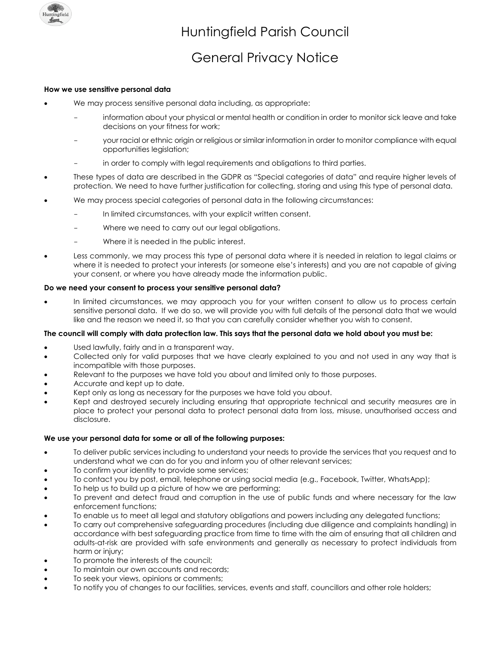

# General Privacy Notice

#### **How we use sensitive personal data**

- We may process sensitive personal data including, as appropriate:
	- information about your physical or mental health or condition in order to monitor sick leave and take decisions on your fitness for work;
	- your racial or ethnic origin or religious or similar information in order to monitor compliance with equal opportunities legislation;
	- in order to comply with legal requirements and obligations to third parties.
- These types of data are described in the GDPR as "Special categories of data" and require higher levels of protection. We need to have further justification for collecting, storing and using this type of personal data.
- We may process special categories of personal data in the following circumstances:
	- In limited circumstances, with your explicit written consent.
	- Where we need to carry out our legal obligations.
	- Where it is needed in the public interest.
- Less commonly, we may process this type of personal data where it is needed in relation to legal claims or where it is needed to protect your interests (or someone else's interests) and you are not capable of giving your consent, or where you have already made the information public.

### **Do we need your consent to process your sensitive personal data?**

• In limited circumstances, we may approach you for your written consent to allow us to process certain sensitive personal data. If we do so, we will provide you with full details of the personal data that we would like and the reason we need it, so that you can carefully consider whether you wish to consent.

#### **The council will comply with data protection law. This says that the personal data we hold about you must be:**

- Used lawfully, fairly and in a transparent way.
- Collected only for valid purposes that we have clearly explained to you and not used in any way that is incompatible with those purposes.
- Relevant to the purposes we have told you about and limited only to those purposes.
- Accurate and kept up to date.
- Kept only as long as necessary for the purposes we have told you about.
- Kept and destroyed securely including ensuring that appropriate technical and security measures are in place to protect your personal data to protect personal data from loss, misuse, unauthorised access and disclosure.

#### **We use your personal data for some or all of the following purposes:**

- To deliver public services including to understand your needs to provide the services that you request and to understand what we can do for you and inform you of other relevant services;
- To confirm your identity to provide some services;
- To contact you by post, email, telephone or using social media (e.g., Facebook, Twitter, WhatsApp);
- To help us to build up a picture of how we are performing;
- To prevent and detect fraud and corruption in the use of public funds and where necessary for the law enforcement functions;
- To enable us to meet all legal and statutory obligations and powers including any delegated functions;
- To carry out comprehensive safeguarding procedures (including due diligence and complaints handling) in accordance with best safeguarding practice from time to time with the aim of ensuring that all children and adults-at-risk are provided with safe environments and generally as necessary to protect individuals from harm or injury;
- To promote the interests of the council;
- To maintain our own accounts and records:
- To seek your views, opinions or comments;
- To notify you of changes to our facilities, services, events and staff, councillors and other role holders;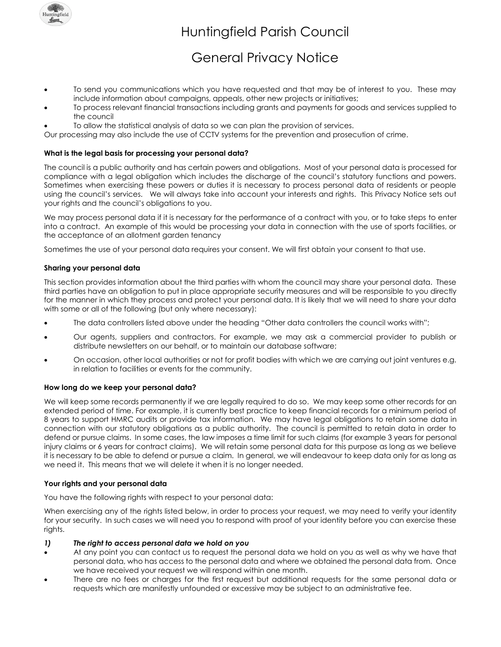

# General Privacy Notice

- To send you communications which you have requested and that may be of interest to you. These may include information about campaigns, appeals, other new projects or initiatives;
- To process relevant financial transactions including grants and payments for goods and services supplied to the council
- To allow the statistical analysis of data so we can plan the provision of services.

Our processing may also include the use of CCTV systems for the prevention and prosecution of crime.

## **What is the legal basis for processing your personal data?**

The council is a public authority and has certain powers and obligations. Most of your personal data is processed for compliance with a legal obligation which includes the discharge of the council's statutory functions and powers. Sometimes when exercising these powers or duties it is necessary to process personal data of residents or people using the council's services. We will always take into account your interests and rights. This Privacy Notice sets out your rights and the council's obligations to you.

We may process personal data if it is necessary for the performance of a contract with you, or to take steps to enter into a contract. An example of this would be processing your data in connection with the use of sports facilities, or the acceptance of an allotment garden tenancy

Sometimes the use of your personal data requires your consent. We will first obtain your consent to that use.

### **Sharing your personal data**

This section provides information about the third parties with whom the council may share your personal data. These third parties have an obligation to put in place appropriate security measures and will be responsible to you directly for the manner in which they process and protect your personal data. It is likely that we will need to share your data with some or all of the following (but only where necessary):

- The data controllers listed above under the heading "Other data controllers the council works with";
- Our agents, suppliers and contractors. For example, we may ask a commercial provider to publish or distribute newsletters on our behalf, or to maintain our database software;
- On occasion, other local authorities or not for profit bodies with which we are carrying out joint ventures e.g. in relation to facilities or events for the community.

#### **How long do we keep your personal data?**

We will keep some records permanently if we are legally required to do so. We may keep some other records for an extended period of time. For example, it is currently best practice to keep financial records for a minimum period of 8 years to support HMRC audits or provide tax information. We may have legal obligations to retain some data in connection with our statutory obligations as a public authority. The council is permitted to retain data in order to defend or pursue claims. In some cases, the law imposes a time limit for such claims (for example 3 years for personal injury claims or 6 years for contract claims). We will retain some personal data for this purpose as long as we believe it is necessary to be able to defend or pursue a claim. In general, we will endeavour to keep data only for as long as we need it. This means that we will delete it when it is no longer needed.

#### **Your rights and your personal data**

You have the following rights with respect to your personal data:

When exercising any of the rights listed below, in order to process your request, we may need to verify your identity for your security. In such cases we will need you to respond with proof of your identity before you can exercise these rights.

#### *1) The right to access personal data we hold on you*

- At any point you can contact us to request the personal data we hold on you as well as why we have that personal data, who has access to the personal data and where we obtained the personal data from. Once we have received your request we will respond within one month.
- There are no fees or charges for the first request but additional requests for the same personal data or requests which are manifestly unfounded or excessive may be subject to an administrative fee.